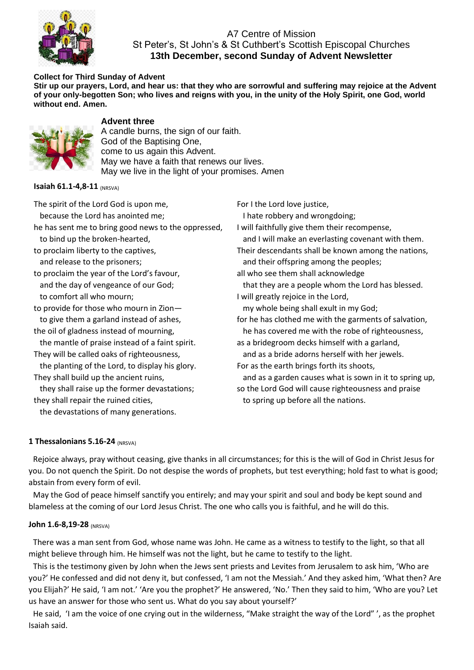

## A7 Centre of Mission St Peter's, St John's & St Cuthbert's Scottish Episcopal Churches **13th December, second Sunday of Advent Newsletter**

#### **Collect for Third Sunday of Advent**

**Stir up our prayers, Lord, and hear us: that they who are sorrowful and suffering may rejoice at the Advent of your only-begotten Son; who lives and reigns with you, in the unity of the Holy Spirit, one God, world without end. Amen.**



## **Advent three**

A candle burns, the sign of our faith. God of the Baptising One, come to us again this Advent. May we have a faith that renews our lives. May we live in the light of your promises. Amen

**Isaiah 61.1-4,8-11 (NRSVA)** 

The spirit of the Lord God is upon me, because the Lord has anointed me; he has sent me to bring good news to the oppressed, to bind up the broken-hearted, to proclaim liberty to the captives, and release to the prisoners; to proclaim the year of the Lord's favour, and the day of vengeance of our God; to comfort all who mourn; to provide for those who mourn in Zion to give them a garland instead of ashes, the oil of gladness instead of mourning, the mantle of praise instead of a faint spirit. They will be called oaks of righteousness, the planting of the Lord, to display his glory. They shall build up the ancient ruins, they shall raise up the former devastations; they shall repair the ruined cities, the devastations of many generations.

For I the Lord love justice, I hate robbery and wrongdoing; I will faithfully give them their recompense, and I will make an everlasting covenant with them. Their descendants shall be known among the nations, and their offspring among the peoples; all who see them shall acknowledge that they are a people whom the Lord has blessed. I will greatly rejoice in the Lord, my whole being shall exult in my God; for he has clothed me with the garments of salvation, he has covered me with the robe of righteousness, as a bridegroom decks himself with a garland, and as a bride adorns herself with her jewels. For as the earth brings forth its shoots, and as a garden causes what is sown in it to spring up, so the Lord God will cause righteousness and praise

to spring up before all the nations.

#### **1 Thessalonians 5.16-24 (NRSVA)**

Rejoice always, pray without ceasing, give thanks in all circumstances; for this is the will of God in Christ Jesus for you. Do not quench the Spirit. Do not despise the words of prophets, but test everything; hold fast to what is good; abstain from every form of evil.

May the God of peace himself sanctify you entirely; and may your spirit and soul and body be kept sound and blameless at the coming of our Lord Jesus Christ. The one who calls you is faithful, and he will do this.

#### **John 1.6-8,19-28** (NRSVA)

There was a man sent from God, whose name was John. He came as a witness to testify to the light, so that all might believe through him. He himself was not the light, but he came to testify to the light.

This is the testimony given by John when the Jews sent priests and Levites from Jerusalem to ask him, 'Who are you?' He confessed and did not deny it, but confessed, 'I am not the Messiah.' And they asked him, 'What then? Are you Elijah?' He said, 'I am not.' 'Are you the prophet?' He answered, 'No.' Then they said to him, 'Who are you? Let us have an answer for those who sent us. What do you say about yourself?'

He said, 'I am the voice of one crying out in the wilderness, "Make straight the way of the Lord" ', as the prophet Isaiah said.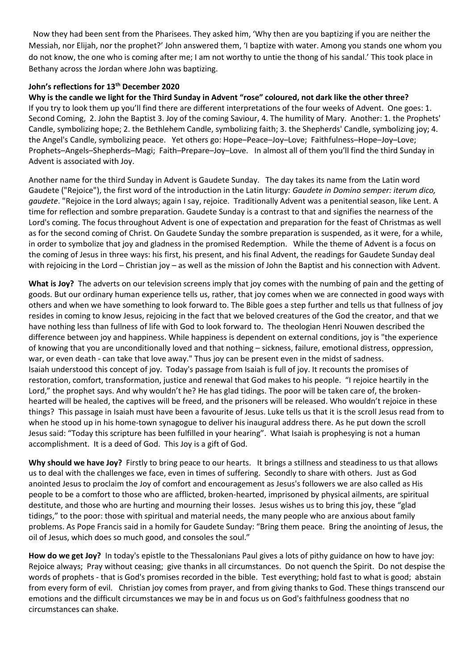Now they had been sent from the Pharisees. They asked him, 'Why then are you baptizing if you are neither the Messiah, nor Elijah, nor the prophet?' John answered them, 'I baptize with water. Among you stands one whom you do not know, the one who is coming after me; I am not worthy to untie the thong of his sandal.' This took place in Bethany across the Jordan where John was baptizing.

#### **John's reflections for 13th December 2020**

**Why is the candle we light for the Third Sunday in Advent "rose" coloured, not dark like the other three?** If you try to look them up you'll find there are different interpretations of the four weeks of Advent. One goes: 1. Second Coming, 2. John the Baptist 3. Joy of the coming Saviour, 4. The humility of Mary. Another: 1. the Prophets' Candle, symbolizing hope; 2. the Bethlehem Candle, symbolizing faith; 3. the Shepherds' Candle, symbolizing joy; 4. the Angel's Candle, symbolizing peace. Yet others go: Hope–Peace–Joy–Love; Faithfulness–Hope–Joy–Love; Prophets–Angels–Shepherds–Magi; Faith–Prepare–Joy–Love. In almost all of them you'll find the third Sunday in Advent is associated with Joy.

Another name for the third Sunday in Advent is Gaudete Sunday. The day takes its name from the Latin word Gaudete ("Rejoice"), the first word of the introduction in the Latin liturgy: *Gaudete in Domino semper: iterum dico, gaudete*. "Rejoice in the Lord always; again I say, rejoice. Traditionally Advent was a penitential season, like Lent. A time for reflection and sombre preparation. Gaudete Sunday is a contrast to that and signifies the nearness of the Lord's coming. The focus throughout Advent is one of expectation and preparation for the feast of Christmas as well as for the second coming of Christ. On Gaudete Sunday the sombre preparation is suspended, as it were, for a while, in order to symbolize that joy and gladness in the promised Redemption. While the theme of Advent is a focus on the coming of Jesus in three ways: his first, his present, and his final Advent, the readings for Gaudete Sunday deal with rejoicing in the Lord – Christian joy – as well as the mission of John the Baptist and his connection with Advent.

**What is Joy?** The adverts on our television screens imply that joy comes with the numbing of pain and the getting of goods. But our ordinary human experience tells us, rather, that joy comes when we are connected in good ways with others and when we have something to look forward to. The Bible goes a step further and tells us that fullness of joy resides in coming to know Jesus, rejoicing in the fact that we beloved creatures of the God the creator, and that we have nothing less than fullness of life with God to look forward to. The theologian Henri Nouwen described the difference between joy and happiness. While happiness is dependent on external conditions, joy is "the experience of knowing that you are unconditionally loved and that nothing – sickness, failure, emotional distress, oppression, war, or even death - can take that love away." Thus joy can be present even in the midst of sadness. Isaiah understood this concept of joy. Today's passage from Isaiah is full of joy. It recounts the promises of restoration, comfort, transformation, justice and renewal that God makes to his people. "I rejoice heartily in the Lord," the prophet says. And why wouldn't he? He has glad tidings. The poor will be taken care of, the brokenhearted will be healed, the captives will be freed, and the prisoners will be released. Who wouldn't rejoice in these things? This passage in Isaiah must have been a favourite of Jesus. Luke tells us that it is the scroll Jesus read from to when he stood up in his home-town synagogue to deliver his inaugural address there. As he put down the scroll Jesus said: "Today this scripture has been fulfilled in your hearing". What Isaiah is prophesying is not a human accomplishment. It is a deed of God. This Joy is a gift of God.

**Why should we have Joy?** Firstly to bring peace to our hearts. It brings a stillness and steadiness to us that allows us to deal with the challenges we face, even in times of suffering. Secondly to share with others. Just as God anointed Jesus to proclaim the Joy of comfort and encouragement as Jesus's followers we are also called as His people to be a comfort to those who are afflicted, broken-hearted, imprisoned by physical ailments, are spiritual destitute, and those who are hurting and mourning their losses. Jesus wishes us to bring this joy, these "glad tidings," to the poor: those with spiritual and material needs, the many people who are anxious about family problems. As Pope Francis said in a homily for Gaudete Sunday: "Bring them peace. Bring the anointing of Jesus, the oil of Jesus, which does so much good, and consoles the soul."

**How do we get Joy?** In today's epistle to the Thessalonians Paul gives a lots of pithy guidance on how to have joy: Rejoice always; Pray without ceasing; give thanks in all circumstances. Do not quench the Spirit. Do not despise the words of prophets - that is God's promises recorded in the bible. Test everything; hold fast to what is good; abstain from every form of evil. Christian joy comes from prayer, and from giving thanks to God. These things transcend our emotions and the difficult circumstances we may be in and focus us on God's faithfulness goodness that no circumstances can shake.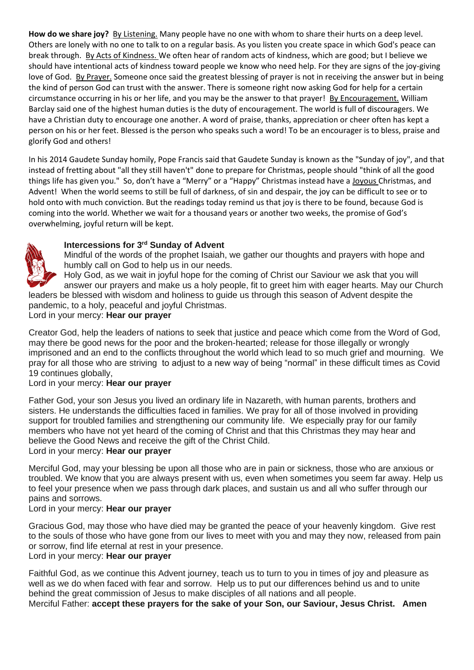**How do we share joy?** By Listening. Many people have no one with whom to share their hurts on a deep level. Others are lonely with no one to talk to on a regular basis. As you listen you create space in which God's peace can break through. By Acts of Kindness. We often hear of random acts of kindness, which are good; but I believe we should have intentional acts of kindness toward people we know who need help. For they are signs of the joy-giving love of God. By Prayer. Someone once said the greatest blessing of prayer is not in receiving the answer but in being the kind of person God can trust with the answer. There is someone right now asking God for help for a certain circumstance occurring in his or her life, and you may be the answer to that prayer! By Encouragement. William Barclay said one of the highest human duties is the duty of encouragement. The world is full of discouragers. We have a Christian duty to encourage one another. A word of praise, thanks, appreciation or cheer often has kept a person on his or her feet. Blessed is the person who speaks such a word! To be an encourager is to bless, praise and glorify God and others!

In his 2014 Gaudete Sunday homily, Pope Francis said that Gaudete Sunday is known as the "Sunday of joy", and that instead of fretting about "all they still haven't" done to prepare for Christmas, people should "think of all the good things life has given you." So, don't have a "Merry" or a "Happy" Christmas instead have a Joyous Christmas, and Advent! When the world seems to still be full of darkness, of sin and despair, the joy can be difficult to see or to hold onto with much conviction. But the readings today remind us that joy is there to be found, because God is coming into the world. Whether we wait for a thousand years or another two weeks, the promise of God's overwhelming, joyful return will be kept.

## **Intercessions for 3rd Sunday of Advent**



Mindful of the words of the prophet Isaiah, we gather our thoughts and prayers with hope and humbly call on God to help us in our needs.

Holy God, as we wait in joyful hope for the coming of Christ our Saviour we ask that you will

answer our prayers and make us a holy people, fit to greet him with eager hearts. May our Church leaders be blessed with wisdom and holiness to guide us through this season of Advent despite the pandemic, to a holy, peaceful and joyful Christmas.

Lord in your mercy: **Hear our prayer**

Creator God, help the leaders of nations to seek that justice and peace which come from the Word of God, may there be good news for the poor and the broken-hearted; release for those illegally or wrongly imprisoned and an end to the conflicts throughout the world which lead to so much grief and mourning. We pray for all those who are striving to adjust to a new way of being "normal" in these difficult times as Covid 19 continues globally,

## Lord in your mercy: **Hear our prayer**

Father God, your son Jesus you lived an ordinary life in Nazareth, with human parents, brothers and sisters. He understands the difficulties faced in families. We pray for all of those involved in providing support for troubled families and strengthening our community life. We especially pray for our family members who have not yet heard of the coming of Christ and that this Christmas they may hear and believe the Good News and receive the gift of the Christ Child. Lord in your mercy: **Hear our prayer**

Merciful God, may your blessing be upon all those who are in pain or sickness, those who are anxious or troubled. We know that you are always present with us, even when sometimes you seem far away. Help us to feel your presence when we pass through dark places, and sustain us and all who suffer through our pains and sorrows.

## Lord in your mercy: **Hear our prayer**

Gracious God, may those who have died may be granted the peace of your heavenly kingdom. Give rest to the souls of those who have gone from our lives to meet with you and may they now, released from pain or sorrow, find life eternal at rest in your presence.

## Lord in your mercy: **Hear our prayer**

Faithful God, as we continue this Advent journey, teach us to turn to you in times of joy and pleasure as well as we do when faced with fear and sorrow. Help us to put our differences behind us and to unite behind the great commission of Jesus to make disciples of all nations and all people. Merciful Father: **accept these prayers for the sake of your Son, our Saviour, Jesus Christ. Amen**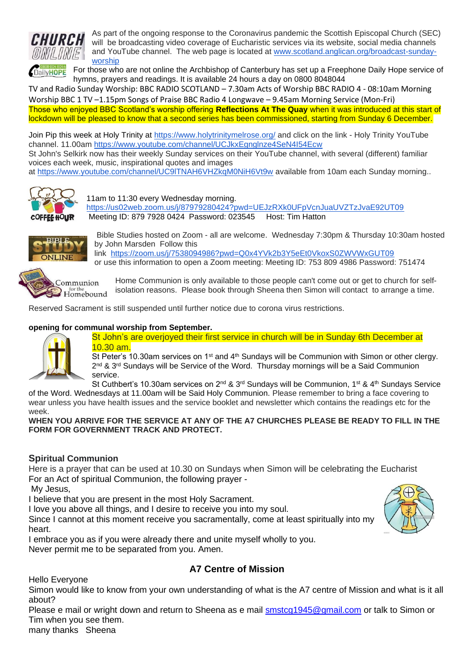

As part of the ongoing response to the Coronavirus pandemic the Scottish Episcopal Church (SEC) will be broadcasting video coverage of Eucharistic services via its website, social media channels and YouTube channel. The web page is located at [www.scotland.anglican.org/broadcast-sunday](http://www.scotland.anglican.org/broadcast-sunday-worship)[worship](http://www.scotland.anglican.org/broadcast-sunday-worship)

For those who are not online the Archbishop of Canterbury has set up a Freephone Daily Hope service of **CDailyHOPE** hymns, prayers and readings. It is available 24 hours a day on 0800 8048044

TV and Radio Sunday Worship: BBC RADIO SCOTLAND – 7.30am Acts of Worship BBC RADIO 4 - 08:10am Morning Worship BBC 1 TV –1.15pm Songs of Praise BBC Radio 4 Longwave – 9.45am Morning Service (Mon-Fri)

Those who enjoyed BBC Scotland's worship offering **Reflections At The Quay** when it was introduced at this start of lockdown will be pleased to know that a second series has been commissioned, starting from Sunday 6 December.

Join Pip this week at Holy Trinity at<https://www.holytrinitymelrose.org/> and click on the link - Holy Trinity YouTube channel. 11.00am<https://www.youtube.com/channel/UCJkxEgnglnze4SeN4I54Ecw>

St John's Selkirk now has their weekly Sunday services on their YouTube channel, with several (different) familiar voices each week, music, inspirational quotes and images

at <https://www.youtube.com/channel/UC9lTNAH6VHZkqM0NiH6Vt9w> available from 10am each Sunday morning..



11am to 11:30 every Wednesday morning. <https://us02web.zoom.us/j/87979280424?pwd=UEJzRXk0UFpVcnJuaUVZTzJvaE92UT09> Meeting ID: 879 7928 0424 Password: 023545 Host: Tim Hatton



Bible Studies hosted on Zoom - all are welcome. Wednesday 7:30pm & Thursday 10:30am hosted by John Marsden Follow this link <https://zoom.us/j/7538094986?pwd=Q0x4YVk2b3Y5eEt0VkoxS0ZWVWxGUT09> or use this information to open a Zoom meeting: Meeting ID: 753 809 4986 Password: 751474



Home Communion is only available to those people can't come out or get to church for selfisolation reasons. Please book through Sheena then Simon will contact to arrange a time.

Reserved Sacrament is still suspended until further notice due to corona virus restrictions.

#### **opening for communal worship from September[.](https://l.facebook.com/l.php?u=https%3A%2F%2Fwww.strava.com%2Factivities%2F4115144364%3Ffbclid%3DIwAR2dp0V7bZw56KZNe7vvvP6qvLImkA5BNccKKFT60WPFMxOmexhBDMqE1hk&h=AT06T4e_7h6ZApB1oGWjk7pLBQ-K3FrXkDzPu-3dIUW9Yq2uWgVHvA1iH9D2G0qHAEzsVf6iZSPLYjt6IIPAEnVxcjXeHb_PKNtCimTKWYec9eSyBG-fhPgCt_GQiLPKta1r&__tn__=H-R&c%5b0%5d=AT0geC5tx4HBtnuUp3gCeEzYdFpe7hKghWt3IPt71OMD54KpTLRZ2BoA0MuMeWwHlfudxO2cBtPJ9so98nMDTcbxTJGAgh-8HbIfpS2DmXnwskBFa3Rkq0KNMefG4EVpFLNqSFOwfcU5q9TBFeRBz7HaUNslyrmv_jq4-z_aqyrBursxAXDT8wGoXyLBHCyTB8npD5HEm393dr1yc9xU8_Tzaw)**



St John's are overjoyed their first service in church will be in Sunday 6th December at 10.30 am.

St Peter's 10.30am services on 1<sup>st</sup> and  $4<sup>th</sup>$  Sundays will be Communion with Simon or other clergy. 2<sup>nd</sup> & 3<sup>rd</sup> Sundays will be Service of the Word. Thursday mornings will be a Said Communion service.

St Cuthbert's 10.30am services on  $2^{nd}$  &  $3^{rd}$  Sundays will be Communion,  $1^{st}$  &  $4^{th}$  Sundays Service of the Word. Wednesdays at 11.00am will be Said Holy Communion. Please remember to bring a face covering to wear unless you have health issues and the service booklet and newsletter which contains the readings etc for the week.

**WHEN YOU ARRIVE FOR THE SERVICE AT ANY OF THE A7 CHURCHES PLEASE BE READY TO FILL IN THE FORM FOR GOVERNMENT TRACK AND PROTECT.** 

## **Spiritual Communion**

Here is a prayer that can be used at 10.30 on Sundays when Simon will be celebrating the Eucharist For an Act of spiritual Communion, the following prayer -

My Jesus,

I believe that you are present in the most Holy Sacrament.

I love you above all things, and I desire to receive you into my soul.

Since I cannot at this moment receive you sacramentally, come at least spiritually into my heart.

I embrace you as if you were already there and unite myself wholly to you.

Never permit me to be separated from you. Amen.

# **A7 Centre of Mission**

Hello Everyone

Simon would like to know from your own understanding of what is the A7 centre of Mission and what is it all about?

Please e mail or wright down and return to Sheena as e mail [smstcg1945@gmail.com](mailto:smstcg1945@gmail.com) or talk to Simon or Tim when you see them.

many thanks Sheena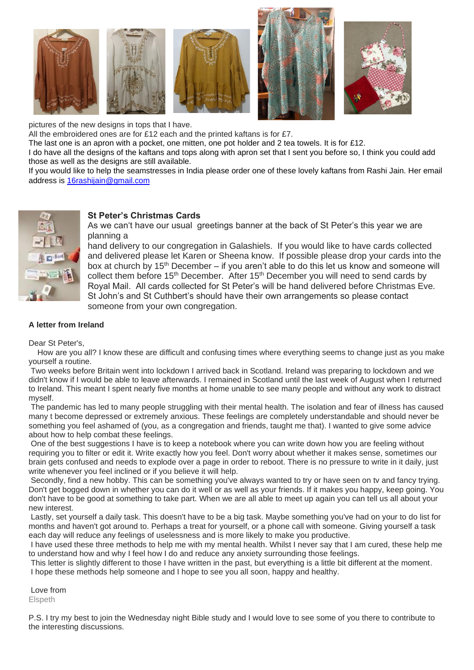

pictures of the new designs in tops that I have.

All the embroidered ones are for £12 each and the printed kaftans is for £7.

The last one is an apron with a pocket, one mitten, one pot holder and 2 tea towels. It is for £12.

I do have all the designs of the kaftans and tops along with apron set that I sent you before so, I think you could add those as well as the designs are still available.

If you would like to help the seamstresses in India please order one of these lovely kaftans from Rashi Jain. Her email address is [16rashijain@gmail.com](mailto:16rashijain@gmail.com) 



#### **St Peter's Christmas Cards**

As we can't have our usual greetings banner at the back of St Peter's this year we are planning a

hand delivery to our congregation in Galashiels. If you would like to have cards collected and delivered please let Karen or Sheena know. If possible please drop your cards into the box at church by 15<sup>th</sup> December – if you aren't able to do this let us know and someone will collect them before 15<sup>th</sup> December. After 15<sup>th</sup> December you will need to send cards by Royal Mail. All cards collected for St Peter's will be hand delivered before Christmas Eve. St John's and St Cuthbert's should have their own arrangements so please contact someone from your own congregation.

#### **A letter from Ireland**

Dear St Peter's,

How are you all? I know these are difficult and confusing times where everything seems to change just as you make yourself a routine.

Two weeks before Britain went into lockdown I arrived back in Scotland. Ireland was preparing to lockdown and we didn't know if I would be able to leave afterwards. I remained in Scotland until the last week of August when I returned to Ireland. This meant I spent nearly five months at home unable to see many people and without any work to distract myself.

The pandemic has led to many people struggling with their mental health. The isolation and fear of illness has caused many t become depressed or extremely anxious. These feelings are completely understandable and should never be something you feel ashamed of (you, as a congregation and friends, taught me that). I wanted to give some advice about how to help combat these feelings.

One of the best suggestions I have is to keep a notebook where you can write down how you are feeling without requiring you to filter or edit it. Write exactly how you feel. Don't worry about whether it makes sense, sometimes our brain gets confused and needs to explode over a page in order to reboot. There is no pressure to write in it daily, just write whenever you feel inclined or if you believe it will help.

Secondly, find a new hobby. This can be something you've always wanted to try or have seen on tv and fancy trying. Don't get bogged down in whether you can do it well or as well as your friends. If it makes you happy, keep going. You don't have to be good at something to take part. When we are all able to meet up again you can tell us all about your new interest.

Lastly, set yourself a daily task. This doesn't have to be a big task. Maybe something you've had on your to do list for months and haven't got around to. Perhaps a treat for yourself, or a phone call with someone. Giving yourself a task each day will reduce any feelings of uselessness and is more likely to make you productive.

I have used these three methods to help me with my mental health. Whilst I never say that I am cured, these help me to understand how and why I feel how I do and reduce any anxiety surrounding those feelings.

This letter is slightly different to those I have written in the past, but everything is a little bit different at the moment. I hope these methods help someone and I hope to see you all soon, happy and healthy.

Love from **Elspeth** 

P.S. I try my best to join the Wednesday night Bible study and I would love to see some of you there to contribute to the interesting discussions.